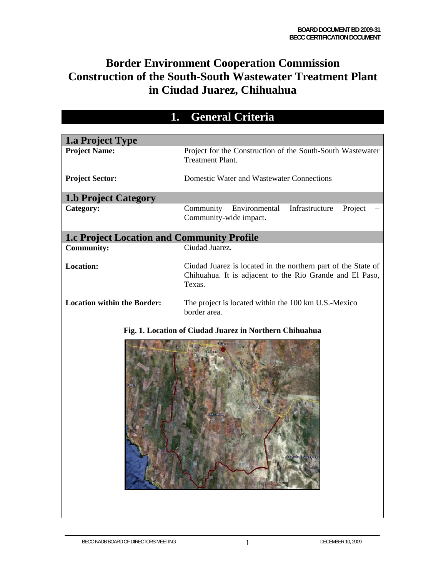# **Border Environment Cooperation Commission Construction of the South-South Wastewater Treatment Plant in Ciudad Juarez, Chihuahua**

| ı.                                                | General Criteria                                                                                                                    |  |  |  |  |  |
|---------------------------------------------------|-------------------------------------------------------------------------------------------------------------------------------------|--|--|--|--|--|
| <b>1.a Project Type</b>                           |                                                                                                                                     |  |  |  |  |  |
| <b>Project Name:</b>                              | Project for the Construction of the South-South Wastewater<br><b>Treatment Plant.</b>                                               |  |  |  |  |  |
| <b>Project Sector:</b>                            | Domestic Water and Wastewater Connections                                                                                           |  |  |  |  |  |
| <b>1.b Project Category</b>                       |                                                                                                                                     |  |  |  |  |  |
| Category:                                         | Community<br>Environmental<br>Infrastructure<br>Project<br>Community-wide impact.                                                   |  |  |  |  |  |
| <b>1.c Project Location and Community Profile</b> |                                                                                                                                     |  |  |  |  |  |
| <b>Community:</b>                                 | Ciudad Juarez.                                                                                                                      |  |  |  |  |  |
| <b>Location:</b>                                  | Ciudad Juarez is located in the northern part of the State of<br>Chihuahua. It is adjacent to the Rio Grande and El Paso,<br>Texas. |  |  |  |  |  |
| <b>Location within the Border:</b>                | The project is located within the 100 km U.S.-Mexico<br>border area.                                                                |  |  |  |  |  |
|                                                   | Fig. 1. Location of Ciudad Juarez in Northern Chihuahua                                                                             |  |  |  |  |  |
|                                                   | timin do Ferr                                                                                                                       |  |  |  |  |  |

# **1. General Criteria**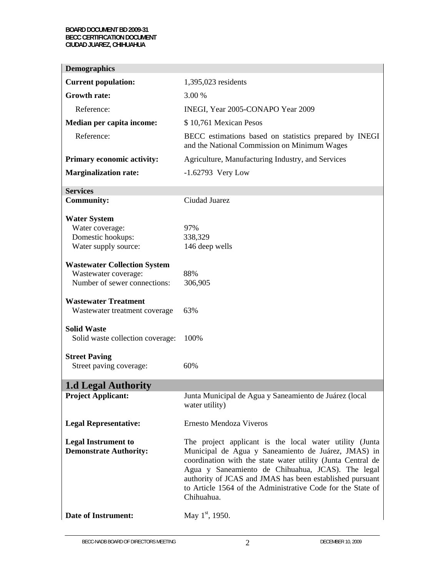| <b>Demographics</b>                                                                         |                                                                                                                                                                                                                                                                                                                                                                             |  |  |  |  |  |  |
|---------------------------------------------------------------------------------------------|-----------------------------------------------------------------------------------------------------------------------------------------------------------------------------------------------------------------------------------------------------------------------------------------------------------------------------------------------------------------------------|--|--|--|--|--|--|
| <b>Current population:</b>                                                                  | 1,395,023 residents                                                                                                                                                                                                                                                                                                                                                         |  |  |  |  |  |  |
| <b>Growth rate:</b>                                                                         | 3.00 %                                                                                                                                                                                                                                                                                                                                                                      |  |  |  |  |  |  |
| Reference:                                                                                  | INEGI, Year 2005-CONAPO Year 2009                                                                                                                                                                                                                                                                                                                                           |  |  |  |  |  |  |
| Median per capita income:                                                                   | \$10,761 Mexican Pesos                                                                                                                                                                                                                                                                                                                                                      |  |  |  |  |  |  |
| Reference:                                                                                  | BECC estimations based on statistics prepared by INEGI<br>and the National Commission on Minimum Wages                                                                                                                                                                                                                                                                      |  |  |  |  |  |  |
| Primary economic activity:                                                                  | Agriculture, Manufacturing Industry, and Services                                                                                                                                                                                                                                                                                                                           |  |  |  |  |  |  |
| <b>Marginalization rate:</b>                                                                | $-1.62793$ Very Low                                                                                                                                                                                                                                                                                                                                                         |  |  |  |  |  |  |
| <b>Services</b>                                                                             |                                                                                                                                                                                                                                                                                                                                                                             |  |  |  |  |  |  |
| <b>Community:</b>                                                                           | Ciudad Juarez                                                                                                                                                                                                                                                                                                                                                               |  |  |  |  |  |  |
| <b>Water System</b><br>Water coverage:<br>Domestic hookups:<br>Water supply source:         | 97%<br>338,329<br>146 deep wells                                                                                                                                                                                                                                                                                                                                            |  |  |  |  |  |  |
| <b>Wastewater Collection System</b><br>Wastewater coverage:<br>Number of sewer connections: | 88%<br>306,905                                                                                                                                                                                                                                                                                                                                                              |  |  |  |  |  |  |
| <b>Wastewater Treatment</b><br>Wastewater treatment coverage                                | 63%                                                                                                                                                                                                                                                                                                                                                                         |  |  |  |  |  |  |
| <b>Solid Waste</b><br>Solid waste collection coverage:                                      | 100%                                                                                                                                                                                                                                                                                                                                                                        |  |  |  |  |  |  |
| <b>Street Paving</b>                                                                        |                                                                                                                                                                                                                                                                                                                                                                             |  |  |  |  |  |  |
| Street paving coverage:                                                                     | 60%                                                                                                                                                                                                                                                                                                                                                                         |  |  |  |  |  |  |
| <b>1.d Legal Authority</b>                                                                  |                                                                                                                                                                                                                                                                                                                                                                             |  |  |  |  |  |  |
| <b>Project Applicant:</b>                                                                   | Junta Municipal de Agua y Saneamiento de Juárez (local<br>water utility)                                                                                                                                                                                                                                                                                                    |  |  |  |  |  |  |
| <b>Legal Representative:</b>                                                                | Ernesto Mendoza Viveros                                                                                                                                                                                                                                                                                                                                                     |  |  |  |  |  |  |
| <b>Legal Instrument to</b><br><b>Demonstrate Authority:</b>                                 | The project applicant is the local water utility (Junta<br>Municipal de Agua y Saneamiento de Juárez, JMAS) in<br>coordination with the state water utility (Junta Central de<br>Agua y Saneamiento de Chihuahua, JCAS). The legal<br>authority of JCAS and JMAS has been established pursuant<br>to Article 1564 of the Administrative Code for the State of<br>Chihuahua. |  |  |  |  |  |  |
| <b>Date of Instrument:</b>                                                                  | May $1st$ , 1950.                                                                                                                                                                                                                                                                                                                                                           |  |  |  |  |  |  |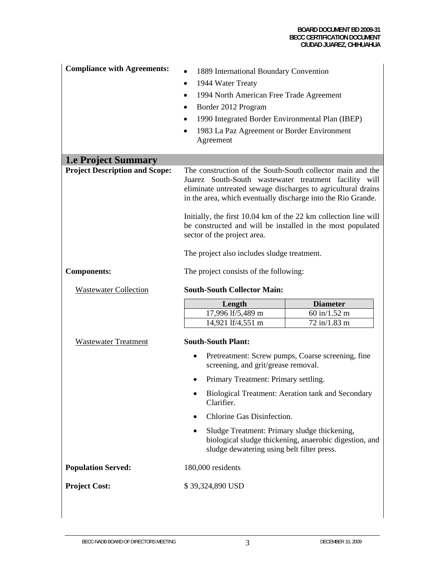#### **BOARD DOCUMENT BD 2009-31 BECC CERTIFICATION DOCUMENT CIUDAD JUAREZ, CHIHUAHUA**

| <b>Compliance with Agreements:</b>    | 1889 International Boundary Convention<br>1944 Water Treaty<br>1994 North American Free Trade Agreement<br>Border 2012 Program<br>1990 Integrated Border Environmental Plan (IBEP)<br>1983 La Paz Agreement or Border Environment<br>Agreement                                                                                                                                                                                                                     |                                                        |  |  |  |  |  |
|---------------------------------------|--------------------------------------------------------------------------------------------------------------------------------------------------------------------------------------------------------------------------------------------------------------------------------------------------------------------------------------------------------------------------------------------------------------------------------------------------------------------|--------------------------------------------------------|--|--|--|--|--|
| <b>1.e Project Summary</b>            |                                                                                                                                                                                                                                                                                                                                                                                                                                                                    |                                                        |  |  |  |  |  |
| <b>Project Description and Scope:</b> | The construction of the South-South collector main and the<br>Juarez South-South wastewater treatment facility will<br>eliminate untreated sewage discharges to agricultural drains<br>in the area, which eventually discharge into the Rio Grande.<br>Initially, the first 10.04 km of the 22 km collection line will<br>be constructed and will be installed in the most populated<br>sector of the project area.<br>The project also includes sludge treatment. |                                                        |  |  |  |  |  |
| <b>Components:</b>                    | The project consists of the following:                                                                                                                                                                                                                                                                                                                                                                                                                             |                                                        |  |  |  |  |  |
|                                       | <b>South-South Collector Main:</b>                                                                                                                                                                                                                                                                                                                                                                                                                                 |                                                        |  |  |  |  |  |
| <b>Wastewater Collection</b>          |                                                                                                                                                                                                                                                                                                                                                                                                                                                                    |                                                        |  |  |  |  |  |
|                                       | Length                                                                                                                                                                                                                                                                                                                                                                                                                                                             | <b>Diameter</b>                                        |  |  |  |  |  |
|                                       | 17,996 lf/5,489 m                                                                                                                                                                                                                                                                                                                                                                                                                                                  | 60 in/1.52 m                                           |  |  |  |  |  |
| <b>Wastewater Treatment</b>           | 14,921 lf/4,551 m<br><b>South-South Plant:</b>                                                                                                                                                                                                                                                                                                                                                                                                                     | 72 in/1.83 m                                           |  |  |  |  |  |
|                                       | $\bullet$<br>screening, and grit/grease removal.                                                                                                                                                                                                                                                                                                                                                                                                                   | Pretreatment: Screw pumps, Coarse screening, fine      |  |  |  |  |  |
|                                       | Primary Treatment: Primary settling.                                                                                                                                                                                                                                                                                                                                                                                                                               |                                                        |  |  |  |  |  |
|                                       | Clarifier.                                                                                                                                                                                                                                                                                                                                                                                                                                                         | Biological Treatment: Aeration tank and Secondary      |  |  |  |  |  |
|                                       | Chlorine Gas Disinfection.<br>$\bullet$                                                                                                                                                                                                                                                                                                                                                                                                                            |                                                        |  |  |  |  |  |
|                                       | Sludge Treatment: Primary sludge thickening,<br>٠<br>sludge dewatering using belt filter press.                                                                                                                                                                                                                                                                                                                                                                    | biological sludge thickening, anaerobic digestion, and |  |  |  |  |  |
| <b>Population Served:</b>             | 180,000 residents                                                                                                                                                                                                                                                                                                                                                                                                                                                  |                                                        |  |  |  |  |  |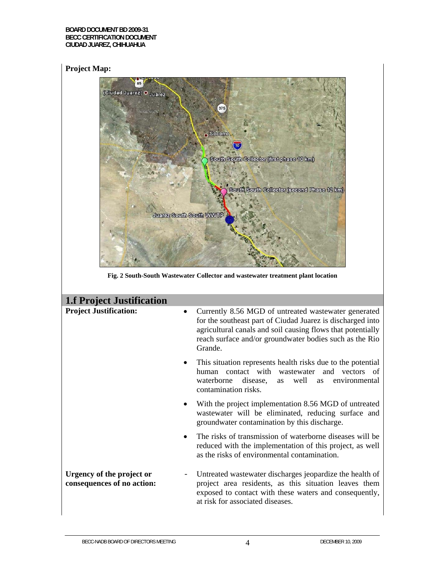## **Project Map:**

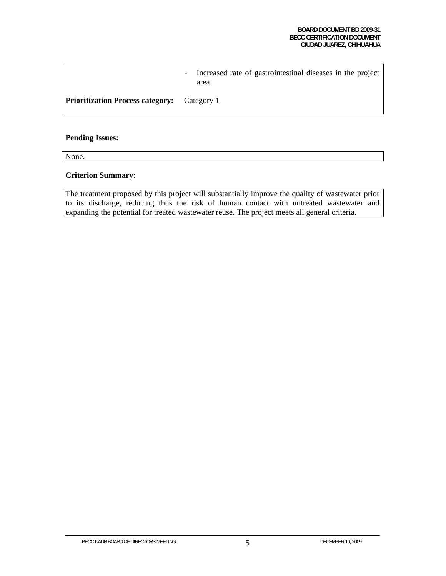- Increased rate of gastrointestinal diseases in the project area

**Prioritization Process category:** Category 1

#### **Pending Issues:**

None.

#### **Criterion Summary:**

The treatment proposed by this project will substantially improve the quality of wastewater prior to its discharge, reducing thus the risk of human contact with untreated wastewater and expanding the potential for treated wastewater reuse. The project meets all general criteria.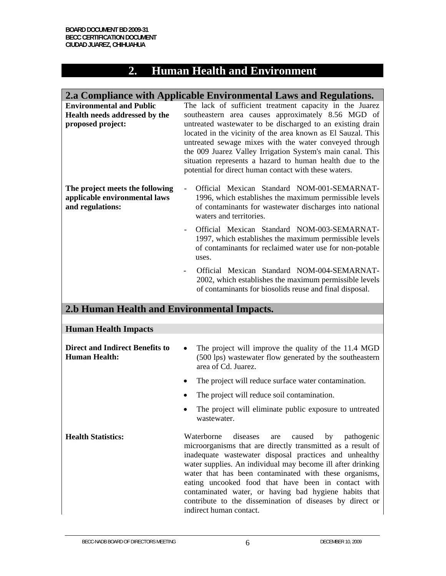# **2. Human Health and Environment**

|                                                                                       | 2.a Compliance with Applicable Environmental Laws and Regulations.                                                                                                                                                                                                                                                                                                                                                                                                                                                   |
|---------------------------------------------------------------------------------------|----------------------------------------------------------------------------------------------------------------------------------------------------------------------------------------------------------------------------------------------------------------------------------------------------------------------------------------------------------------------------------------------------------------------------------------------------------------------------------------------------------------------|
| <b>Environmental and Public</b><br>Health needs addressed by the<br>proposed project: | The lack of sufficient treatment capacity in the Juarez<br>southeastern area causes approximately 8.56 MGD of<br>untreated wastewater to be discharged to an existing drain<br>located in the vicinity of the area known as El Sauzal. This<br>untreated sewage mixes with the water conveyed through<br>the 009 Juarez Valley Irrigation System's main canal. This<br>situation represents a hazard to human health due to the<br>potential for direct human contact with these waters.                             |
| The project meets the following<br>applicable environmental laws<br>and regulations:  | Official Mexican Standard NOM-001-SEMARNAT-<br>1996, which establishes the maximum permissible levels<br>of contaminants for wastewater discharges into national<br>waters and territories.                                                                                                                                                                                                                                                                                                                          |
|                                                                                       | Official Mexican Standard NOM-003-SEMARNAT-<br>1997, which establishes the maximum permissible levels<br>of contaminants for reclaimed water use for non-potable<br>uses.                                                                                                                                                                                                                                                                                                                                            |
|                                                                                       | Official Mexican Standard NOM-004-SEMARNAT-<br>2002, which establishes the maximum permissible levels<br>of contaminants for biosolids reuse and final disposal.                                                                                                                                                                                                                                                                                                                                                     |
| 2.b Human Health and Environmental Impacts.                                           |                                                                                                                                                                                                                                                                                                                                                                                                                                                                                                                      |
| <b>Human Health Impacts</b>                                                           |                                                                                                                                                                                                                                                                                                                                                                                                                                                                                                                      |
| <b>Direct and Indirect Benefits to</b><br><b>Human Health:</b>                        | The project will improve the quality of the 11.4 MGD<br>(500 lps) wastewater flow generated by the southeastern<br>area of Cd. Juarez.                                                                                                                                                                                                                                                                                                                                                                               |
|                                                                                       | The project will reduce surface water contamination.                                                                                                                                                                                                                                                                                                                                                                                                                                                                 |
|                                                                                       | The project will reduce soil contamination.                                                                                                                                                                                                                                                                                                                                                                                                                                                                          |
|                                                                                       | The project will eliminate public exposure to untreated<br>wastewater.                                                                                                                                                                                                                                                                                                                                                                                                                                               |
| <b>Health Statistics:</b>                                                             | Waterborne<br>diseases<br>caused<br>by<br>pathogenic<br>are<br>microorganisms that are directly transmitted as a result of<br>inadequate wastewater disposal practices and unhealthy<br>water supplies. An individual may become ill after drinking<br>water that has been contaminated with these organisms,<br>eating uncooked food that have been in contact with<br>contaminated water, or having bad hygiene habits that<br>contribute to the dissemination of diseases by direct or<br>indirect human contact. |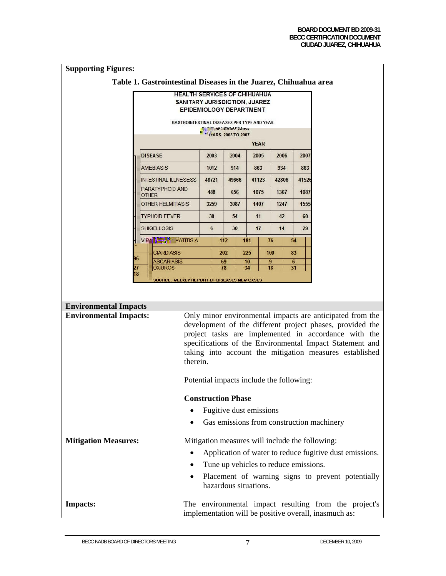# **Supporting Figures:**

## **Table 1. Gastrointestinal Diseases in the Juarez, Chihuahua area**

|                | <b>HEALTH SERVICES OF CHIHUAHUA</b><br><b>SANITARY JURISDICTION, JUAREZ</b><br>EPIDEMIOLOGY DEPARTMENT |       |                                                                          |       |          |             |       |         |     |
|----------------|--------------------------------------------------------------------------------------------------------|-------|--------------------------------------------------------------------------|-------|----------|-------------|-------|---------|-----|
|                | <b>GASTROINTESTINAL DISEASES PER TYPE AND YEAR</b>                                                     |       | <b>WITHE AL JOAKEE AREA</b><br><b>N</b> v <sub>1</sub> LARS 2003 TO 2007 |       |          | <b>YEAR</b> |       |         |     |
|                | <b>DISEASE</b>                                                                                         | 2003  |                                                                          | 2004  |          | 2005        | 2006  | 2007    |     |
|                | <b>AMEBIASIS</b>                                                                                       |       | 1012                                                                     | 914   |          | 863         | 934   |         | 863 |
|                | <b>INTESTINAL ILLNESESS</b>                                                                            | 48721 |                                                                          | 49666 |          | 41123       | 42806 | 41526   |     |
|                | PARATYPHOID AND<br><b>OTHER</b>                                                                        | 488   |                                                                          | 656   |          | 1075        | 1367  | 1087    |     |
|                | <b>OTHER HELMITIASIS</b>                                                                               |       | 3259                                                                     | 3087  |          | 1407        | 1247  | 1555    |     |
|                | <b>TYPHOID FEVER</b>                                                                                   | 38    |                                                                          | 54    |          | 11          | 42    | 60      |     |
|                | <b>SHIGELLOSIS</b>                                                                                     | 6     |                                                                          | 30    |          | 17          | 14    | 29      |     |
|                | VIPA TATITIS-A                                                                                         |       | 112                                                                      |       | 181      | 76          |       | 54      |     |
|                | <b>GIARDIASIS</b>                                                                                      |       | 202                                                                      |       | 225      | 100         |       | 83      |     |
| 96<br>27<br>18 | <b>ASCARIASIS</b><br><b>OXIUROS</b>                                                                    |       | 69<br>78                                                                 |       | 10<br>34 | 9<br>18     |       | 6<br>31 |     |
|                | <b>SOURCE: VEEKLY REPORT OF DISEASES NEV CASES</b>                                                     |       |                                                                          |       |          |             |       |         |     |

| <b>Environmental Impacts</b>  |                                                                                                                                                                                                                                                                                                                   |  |  |  |  |  |  |  |
|-------------------------------|-------------------------------------------------------------------------------------------------------------------------------------------------------------------------------------------------------------------------------------------------------------------------------------------------------------------|--|--|--|--|--|--|--|
| <b>Environmental Impacts:</b> | Only minor environmental impacts are anticipated from the<br>development of the different project phases, provided the<br>project tasks are implemented in accordance with the<br>specifications of the Environmental Impact Statement and<br>taking into account the mitigation measures established<br>therein. |  |  |  |  |  |  |  |
|                               | Potential impacts include the following:                                                                                                                                                                                                                                                                          |  |  |  |  |  |  |  |
|                               | <b>Construction Phase</b>                                                                                                                                                                                                                                                                                         |  |  |  |  |  |  |  |
|                               | Fugitive dust emissions<br>$\bullet$                                                                                                                                                                                                                                                                              |  |  |  |  |  |  |  |
|                               | Gas emissions from construction machinery<br>$\bullet$                                                                                                                                                                                                                                                            |  |  |  |  |  |  |  |
| <b>Mitigation Measures:</b>   | Mitigation measures will include the following:                                                                                                                                                                                                                                                                   |  |  |  |  |  |  |  |
|                               | Application of water to reduce fugitive dust emissions.                                                                                                                                                                                                                                                           |  |  |  |  |  |  |  |
|                               | Tune up vehicles to reduce emissions.<br>$\bullet$                                                                                                                                                                                                                                                                |  |  |  |  |  |  |  |
|                               | Placement of warning signs to prevent potentially<br>$\bullet$<br>hazardous situations.                                                                                                                                                                                                                           |  |  |  |  |  |  |  |
| <b>Impacts:</b>               | The environmental impact resulting from the project's<br>implementation will be positive overall, inasmuch as:                                                                                                                                                                                                    |  |  |  |  |  |  |  |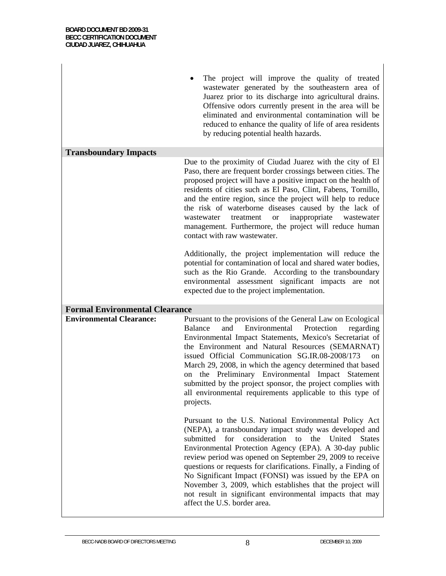|                                       | The project will improve the quality of treated<br>wastewater generated by the southeastern area of<br>Juarez prior to its discharge into agricultural drains.<br>Offensive odors currently present in the area will be<br>eliminated and environmental contamination will be<br>reduced to enhance the quality of life of area residents<br>by reducing potential health hazards.                                                                                                                                                                                                                      |
|---------------------------------------|---------------------------------------------------------------------------------------------------------------------------------------------------------------------------------------------------------------------------------------------------------------------------------------------------------------------------------------------------------------------------------------------------------------------------------------------------------------------------------------------------------------------------------------------------------------------------------------------------------|
| <b>Transboundary Impacts</b>          |                                                                                                                                                                                                                                                                                                                                                                                                                                                                                                                                                                                                         |
|                                       | Due to the proximity of Ciudad Juarez with the city of El<br>Paso, there are frequent border crossings between cities. The<br>proposed project will have a positive impact on the health of<br>residents of cities such as El Paso, Clint, Fabens, Tornillo,<br>and the entire region, since the project will help to reduce<br>the risk of waterborne diseases caused by the lack of<br><b>or</b><br>inappropriate<br>wastewater<br>treatment<br>wastewater<br>management. Furthermore, the project will reduce human<br>contact with raw wastewater.                                                  |
|                                       | Additionally, the project implementation will reduce the<br>potential for contamination of local and shared water bodies,<br>such as the Rio Grande. According to the transboundary<br>environmental assessment significant impacts are not<br>expected due to the project implementation.                                                                                                                                                                                                                                                                                                              |
| <b>Formal Environmental Clearance</b> |                                                                                                                                                                                                                                                                                                                                                                                                                                                                                                                                                                                                         |
| <b>Environmental Clearance:</b>       | Pursuant to the provisions of the General Law on Ecological<br>and<br>Environmental<br>Balance<br>Protection<br>regarding<br>Environmental Impact Statements, Mexico's Secretariat of<br>the Environment and Natural Resources (SEMARNAT)<br>issued Official Communication SG.IR.08-2008/173<br><sub>on</sub><br>March 29, 2008, in which the agency determined that based<br>the Preliminary Environmental Impact Statement<br>on<br>submitted by the project sponsor, the project complies with<br>all environmental requirements applicable to this type of<br>projects.                             |
|                                       | Pursuant to the U.S. National Environmental Policy Act<br>(NEPA), a transboundary impact study was developed and<br>consideration<br>to the<br>United<br>submitted<br>for<br><b>States</b><br>Environmental Protection Agency (EPA). A 30-day public<br>review period was opened on September 29, 2009 to receive<br>questions or requests for clarifications. Finally, a Finding of<br>No Significant Impact (FONSI) was issued by the EPA on<br>November 3, 2009, which establishes that the project will<br>not result in significant environmental impacts that may<br>affect the U.S. border area. |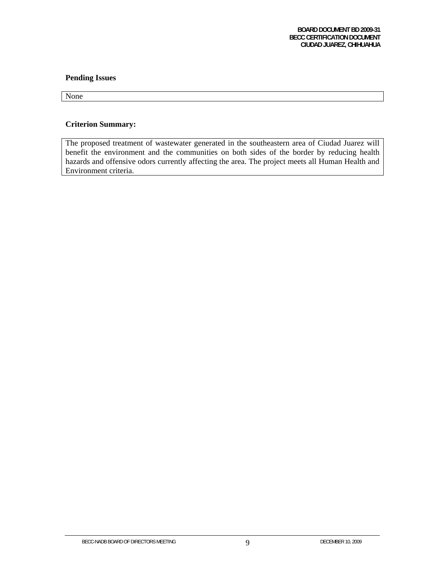#### **Pending Issues**

None

### **Criterion Summary:**

The proposed treatment of wastewater generated in the southeastern area of Ciudad Juarez will benefit the environment and the communities on both sides of the border by reducing health hazards and offensive odors currently affecting the area. The project meets all Human Health and Environment criteria.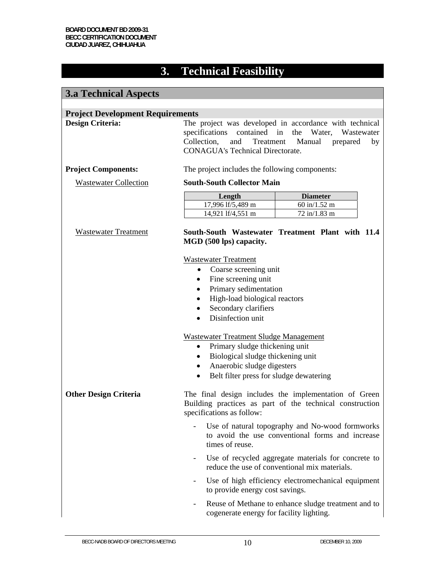# **3. Technical Feasibility**

| <b>3.a Technical Aspects</b>                                       |                                                                                                                                                                                                                                                                                                                   |                                                                                                                   |  |  |  |  |  |  |  |
|--------------------------------------------------------------------|-------------------------------------------------------------------------------------------------------------------------------------------------------------------------------------------------------------------------------------------------------------------------------------------------------------------|-------------------------------------------------------------------------------------------------------------------|--|--|--|--|--|--|--|
| <b>Project Development Requirements</b><br><b>Design Criteria:</b> | The project was developed in accordance with technical<br>specifications<br>contained<br>in<br>the<br>Water,<br>Wastewater<br>Collection,<br>and<br>Treatment<br>Manual<br>prepared<br>by<br><b>CONAGUA's Technical Directorate.</b>                                                                              |                                                                                                                   |  |  |  |  |  |  |  |
| <b>Project Components:</b>                                         | The project includes the following components:                                                                                                                                                                                                                                                                    |                                                                                                                   |  |  |  |  |  |  |  |
| <b>Wastewater Collection</b>                                       | <b>South-South Collector Main</b>                                                                                                                                                                                                                                                                                 |                                                                                                                   |  |  |  |  |  |  |  |
|                                                                    | Length                                                                                                                                                                                                                                                                                                            | <b>Diameter</b>                                                                                                   |  |  |  |  |  |  |  |
|                                                                    | $17,996$ lf/5,489 m<br>14,921 lf/4,551 m                                                                                                                                                                                                                                                                          | 60 in/1.52 m<br>72 in/1.83 m                                                                                      |  |  |  |  |  |  |  |
| <b>Wastewater Treatment</b>                                        | MGD (500 lps) capacity.                                                                                                                                                                                                                                                                                           | South-South Wastewater Treatment Plant with 11.4                                                                  |  |  |  |  |  |  |  |
|                                                                    | <b>Wastewater Treatment</b><br>Coarse screening unit<br>$\bullet$<br>Fine screening unit<br>$\bullet$<br>Primary sedimentation<br>$\bullet$<br>High-load biological reactors<br>$\bullet$<br>Secondary clarifiers<br>$\bullet$<br>Disinfection unit<br>$\bullet$<br><b>Wastewater Treatment Sludge Management</b> |                                                                                                                   |  |  |  |  |  |  |  |
|                                                                    | Primary sludge thickening unit<br>$\bullet$                                                                                                                                                                                                                                                                       |                                                                                                                   |  |  |  |  |  |  |  |
|                                                                    | Biological sludge thickening unit<br>$\bullet$                                                                                                                                                                                                                                                                    |                                                                                                                   |  |  |  |  |  |  |  |
|                                                                    | $\bullet$                                                                                                                                                                                                                                                                                                         | Anaerobic sludge digesters<br>$\bullet$<br>Belt filter press for sludge dewatering                                |  |  |  |  |  |  |  |
| <b>Other Design Criteria</b>                                       | specifications as follow:                                                                                                                                                                                                                                                                                         | The final design includes the implementation of Green<br>Building practices as part of the technical construction |  |  |  |  |  |  |  |
|                                                                    | times of reuse.                                                                                                                                                                                                                                                                                                   | Use of natural topography and No-wood formworks<br>to avoid the use conventional forms and increase               |  |  |  |  |  |  |  |
|                                                                    |                                                                                                                                                                                                                                                                                                                   | Use of recycled aggregate materials for concrete to<br>reduce the use of conventional mix materials.              |  |  |  |  |  |  |  |
|                                                                    | to provide energy cost savings.                                                                                                                                                                                                                                                                                   | Use of high efficiency electromechanical equipment                                                                |  |  |  |  |  |  |  |
|                                                                    | cogenerate energy for facility lighting.                                                                                                                                                                                                                                                                          | Reuse of Methane to enhance sludge treatment and to                                                               |  |  |  |  |  |  |  |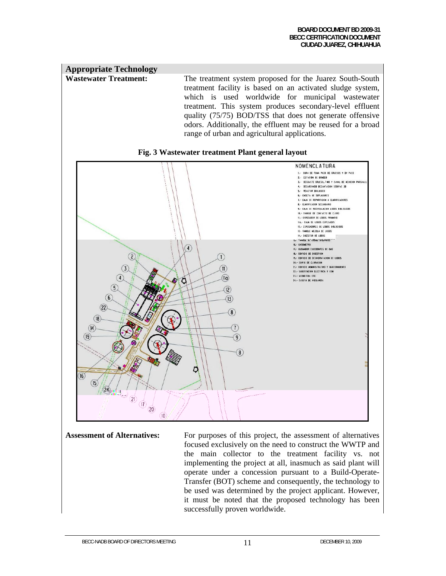#### **Appropriate Technology** Wastewater Treatment: The treatment system proposed for the Juarez South-South treatment facility is based on an activated sludge system, which is used worldwide for municipal wastewater treatment. This system produces secondary-level effluent quality (75/75) BOD/TSS that does not generate offensive odors. Additionally, the effluent may be reused for a broad range of urban and agricultural applications.





**Assessment of Alternatives:** For purposes of this project, the assessment of alternatives focused exclusively on the need to construct the WWTP and the main collector to the treatment facility vs. not implementing the project at all, inasmuch as said plant will operate under a concession pursuant to a Build-Operate-Transfer (BOT) scheme and consequently, the technology to be used was determined by the project applicant. However, it must be noted that the proposed technology has been successfully proven worldwide.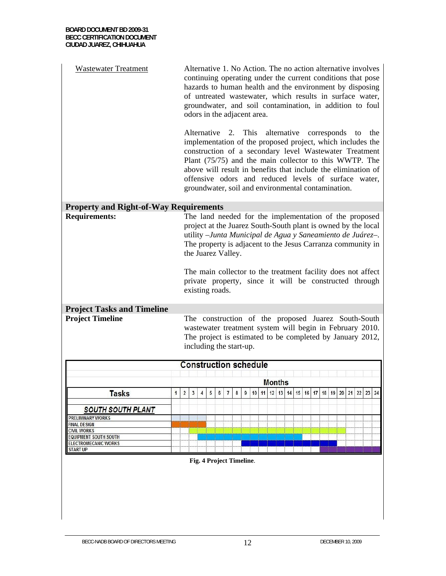| <b>Wastewater Treatment</b>                   | Alternative 1. No Action. The no action alternative involves<br>continuing operating under the current conditions that pose<br>hazards to human health and the environment by disposing<br>of untreated wastewater, which results in surface water,<br>groundwater, and soil contamination, in addition to foul<br>odors in the adjacent area.                                                                               |            |   |   |                                                                                                                                                                                                         |                |   |       |    |  |  |                   |  |    |    |    |    |    |    |    |    |
|-----------------------------------------------|------------------------------------------------------------------------------------------------------------------------------------------------------------------------------------------------------------------------------------------------------------------------------------------------------------------------------------------------------------------------------------------------------------------------------|------------|---|---|---------------------------------------------------------------------------------------------------------------------------------------------------------------------------------------------------------|----------------|---|-------|----|--|--|-------------------|--|----|----|----|----|----|----|----|----|
|                                               | 2. This alternative corresponds<br>Alternative<br>the<br>to<br>implementation of the proposed project, which includes the<br>construction of a secondary level Wastewater Treatment<br>Plant (75/75) and the main collector to this WWTP. The<br>above will result in benefits that include the elimination of<br>offensive odors and reduced levels of surface water,<br>groundwater, soil and environmental contamination. |            |   |   |                                                                                                                                                                                                         |                |   |       |    |  |  |                   |  |    |    |    |    |    |    |    |    |
| <b>Property and Right-of-Way Requirements</b> |                                                                                                                                                                                                                                                                                                                                                                                                                              |            |   |   |                                                                                                                                                                                                         |                |   |       |    |  |  |                   |  |    |    |    |    |    |    |    |    |
| <b>Requirements:</b>                          | The land needed for the implementation of the proposed<br>project at the Juarez South-South plant is owned by the local<br>utility - Junta Municipal de Agua y Saneamiento de Juárez-.<br>The property is adjacent to the Jesus Carranza community in<br>the Juarez Valley.<br>The main collector to the treatment facility does not affect<br>private property, since it will be constructed through<br>existing roads.     |            |   |   |                                                                                                                                                                                                         |                |   |       |    |  |  |                   |  |    |    |    |    |    |    |    |    |
| <b>Project Tasks and Timeline</b>             |                                                                                                                                                                                                                                                                                                                                                                                                                              |            |   |   |                                                                                                                                                                                                         |                |   |       |    |  |  |                   |  |    |    |    |    |    |    |    |    |
| <b>Project Timeline</b>                       |                                                                                                                                                                                                                                                                                                                                                                                                                              |            |   |   | The construction of the proposed Juarez South-South<br>wastewater treatment system will begin in February 2010.<br>The project is estimated to be completed by January 2012,<br>including the start-up. |                |   |       |    |  |  |                   |  |    |    |    |    |    |    |    |    |
|                                               |                                                                                                                                                                                                                                                                                                                                                                                                                              |            |   |   | <b>Construction schedule</b>                                                                                                                                                                            |                |   |       |    |  |  |                   |  |    |    |    |    |    |    |    |    |
|                                               |                                                                                                                                                                                                                                                                                                                                                                                                                              |            |   |   |                                                                                                                                                                                                         |                |   |       |    |  |  |                   |  |    |    |    |    |    |    |    |    |
|                                               |                                                                                                                                                                                                                                                                                                                                                                                                                              |            |   |   |                                                                                                                                                                                                         |                |   |       |    |  |  | <b>Months</b>     |  |    |    |    |    |    |    |    |    |
| <b>Tasks</b><br>$\mathbf{1}$                  | $\overline{\mathbf{2}}$                                                                                                                                                                                                                                                                                                                                                                                                      | $\sqrt{3}$ | 4 | 5 | $\boldsymbol{6}$                                                                                                                                                                                        | $\overline{7}$ | 8 | $9\,$ | 10 |  |  | 11 12 13 14 15 16 |  | 17 | 18 | 19 | 20 | 21 | 22 | 23 | 24 |
| <b>SOUTH SOUTH PLANT</b>                      |                                                                                                                                                                                                                                                                                                                                                                                                                              |            |   |   |                                                                                                                                                                                                         |                |   |       |    |  |  |                   |  |    |    |    |    |    |    |    |    |
| <b>PRELIMINARY WORKS</b>                      |                                                                                                                                                                                                                                                                                                                                                                                                                              |            |   |   |                                                                                                                                                                                                         |                |   |       |    |  |  |                   |  |    |    |    |    |    |    |    |    |
| <b>FINAL DESIGN</b><br><b>CIVIL WORKS</b>     |                                                                                                                                                                                                                                                                                                                                                                                                                              |            |   |   |                                                                                                                                                                                                         |                |   |       |    |  |  |                   |  |    |    |    |    |    |    |    |    |
| <b>EQUIPMENT SOUTH SOUTH</b>                  |                                                                                                                                                                                                                                                                                                                                                                                                                              |            |   |   |                                                                                                                                                                                                         |                |   |       |    |  |  |                   |  |    |    |    |    |    |    |    |    |
| <b>ELECTROMECANIC WORKS</b>                   |                                                                                                                                                                                                                                                                                                                                                                                                                              |            |   |   |                                                                                                                                                                                                         |                |   |       |    |  |  |                   |  |    |    |    |    |    |    |    |    |
| <b>START UP</b>                               |                                                                                                                                                                                                                                                                                                                                                                                                                              |            |   |   |                                                                                                                                                                                                         |                |   |       |    |  |  |                   |  |    |    |    |    |    |    |    |    |
|                                               |                                                                                                                                                                                                                                                                                                                                                                                                                              |            |   |   | Fig. 4 Project Timeline.                                                                                                                                                                                |                |   |       |    |  |  |                   |  |    |    |    |    |    |    |    |    |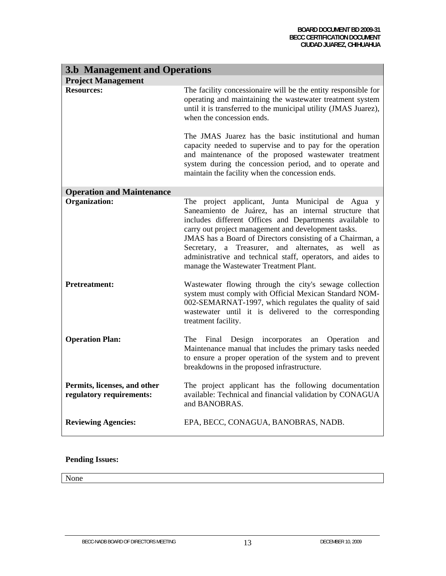| <b>3.b Management and Operations</b>                     |                                                                                                                                                                                                                                                                                                                                                                                                                                                               |
|----------------------------------------------------------|---------------------------------------------------------------------------------------------------------------------------------------------------------------------------------------------------------------------------------------------------------------------------------------------------------------------------------------------------------------------------------------------------------------------------------------------------------------|
| <b>Project Management</b>                                |                                                                                                                                                                                                                                                                                                                                                                                                                                                               |
| <b>Resources:</b>                                        | The facility concessionaire will be the entity responsible for<br>operating and maintaining the wastewater treatment system<br>until it is transferred to the municipal utility (JMAS Juarez),<br>when the concession ends.                                                                                                                                                                                                                                   |
|                                                          | The JMAS Juarez has the basic institutional and human<br>capacity needed to supervise and to pay for the operation<br>and maintenance of the proposed wastewater treatment<br>system during the concession period, and to operate and<br>maintain the facility when the concession ends.                                                                                                                                                                      |
| <b>Operation and Maintenance</b>                         |                                                                                                                                                                                                                                                                                                                                                                                                                                                               |
| <b>Organization:</b>                                     | The project applicant, Junta Municipal de Agua y<br>Saneamiento de Juárez, has an internal structure that<br>includes different Offices and Departments available to<br>carry out project management and development tasks.<br>JMAS has a Board of Directors consisting of a Chairman, a<br>Secretary, a Treasurer, and alternates, as<br>well<br>as<br>administrative and technical staff, operators, and aides to<br>manage the Wastewater Treatment Plant. |
| <b>Pretreatment:</b>                                     | Wastewater flowing through the city's sewage collection<br>system must comply with Official Mexican Standard NOM-<br>002-SEMARNAT-1997, which regulates the quality of said<br>wastewater until it is delivered to the corresponding<br>treatment facility.                                                                                                                                                                                                   |
| <b>Operation Plan:</b>                                   | Final Design incorporates<br>The<br>Operation<br>an<br>and<br>Maintenance manual that includes the primary tasks needed<br>to ensure a proper operation of the system and to prevent<br>breakdowns in the proposed infrastructure.                                                                                                                                                                                                                            |
| Permits, licenses, and other<br>regulatory requirements: | The project applicant has the following documentation<br>available: Technical and financial validation by CONAGUA<br>and BANOBRAS.                                                                                                                                                                                                                                                                                                                            |
| <b>Reviewing Agencies:</b>                               | EPA, BECC, CONAGUA, BANOBRAS, NADB.                                                                                                                                                                                                                                                                                                                                                                                                                           |

## **Pending Issues:**

None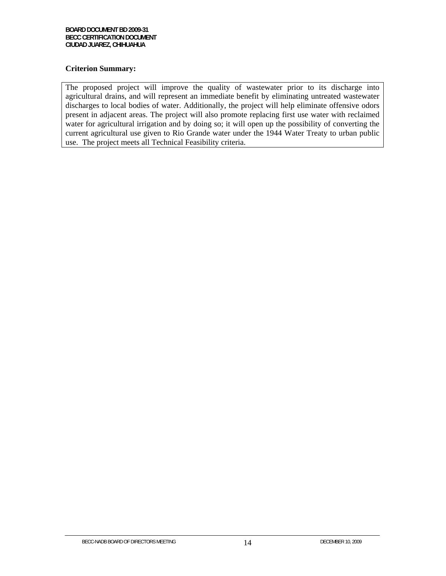## **Criterion Summary:**

The proposed project will improve the quality of wastewater prior to its discharge into agricultural drains, and will represent an immediate benefit by eliminating untreated wastewater discharges to local bodies of water. Additionally, the project will help eliminate offensive odors present in adjacent areas. The project will also promote replacing first use water with reclaimed water for agricultural irrigation and by doing so; it will open up the possibility of converting the current agricultural use given to Rio Grande water under the 1944 Water Treaty to urban public use. The project meets all Technical Feasibility criteria.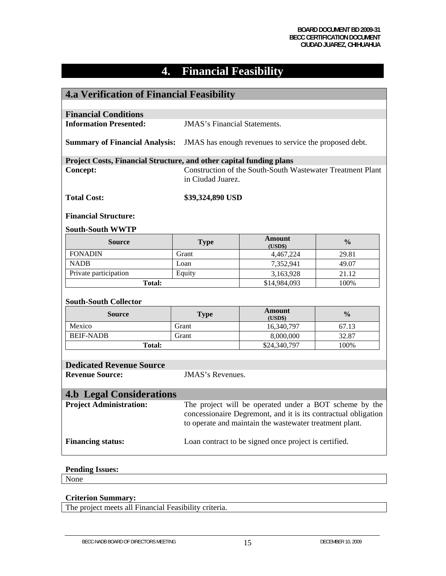# **4. Financial Feasibility**

| <b>4.a Verification of Financial Feasibility</b>                    |                                                                                                 |                                                                |               |  |  |  |  |  |
|---------------------------------------------------------------------|-------------------------------------------------------------------------------------------------|----------------------------------------------------------------|---------------|--|--|--|--|--|
|                                                                     |                                                                                                 |                                                                |               |  |  |  |  |  |
| <b>Financial Conditions</b>                                         |                                                                                                 |                                                                |               |  |  |  |  |  |
| <b>Information Presented:</b>                                       | <b>JMAS's Financial Statements.</b>                                                             |                                                                |               |  |  |  |  |  |
|                                                                     | <b>Summary of Financial Analysis:</b><br>JMAS has enough revenues to service the proposed debt. |                                                                |               |  |  |  |  |  |
| Project Costs, Financial Structure, and other capital funding plans |                                                                                                 |                                                                |               |  |  |  |  |  |
| <b>Concept:</b>                                                     | in Ciudad Juarez.                                                                               | Construction of the South-South Wastewater Treatment Plant     |               |  |  |  |  |  |
| <b>Total Cost:</b>                                                  | \$39,324,890 USD                                                                                |                                                                |               |  |  |  |  |  |
| <b>Financial Structure:</b>                                         |                                                                                                 |                                                                |               |  |  |  |  |  |
| <b>South-South WWTP</b>                                             |                                                                                                 |                                                                |               |  |  |  |  |  |
| <b>Source</b>                                                       | <b>Type</b>                                                                                     | <b>Amount</b><br>(USD\$)                                       | $\frac{0}{0}$ |  |  |  |  |  |
| <b>FONADIN</b>                                                      | Grant                                                                                           | 4,467,224                                                      | 29.81         |  |  |  |  |  |
| <b>NADB</b>                                                         | Loan                                                                                            | 7,352,941                                                      | 49.07         |  |  |  |  |  |
| Private participation                                               | Equity                                                                                          | 3,163,928                                                      | 21.12         |  |  |  |  |  |
| <b>Total:</b>                                                       |                                                                                                 | \$14,984,093                                                   | 100%          |  |  |  |  |  |
| <b>South-South Collector</b>                                        |                                                                                                 |                                                                |               |  |  |  |  |  |
| <b>Source</b>                                                       | <b>Type</b>                                                                                     | <b>Amount</b><br>(USD\$)                                       | $\frac{0}{0}$ |  |  |  |  |  |
| Mexico                                                              | Grant                                                                                           | 16,340,797                                                     | 67.13         |  |  |  |  |  |
| <b>BEIF-NADB</b>                                                    | Grant                                                                                           | 8,000,000                                                      | 32.87         |  |  |  |  |  |
| <b>Total:</b>                                                       |                                                                                                 | \$24,340,797                                                   | 100%          |  |  |  |  |  |
|                                                                     |                                                                                                 |                                                                |               |  |  |  |  |  |
| <b>Dedicated Revenue Source</b>                                     |                                                                                                 |                                                                |               |  |  |  |  |  |
| <b>Revenue Source:</b>                                              | <b>JMAS's Revenues.</b>                                                                         |                                                                |               |  |  |  |  |  |
|                                                                     |                                                                                                 |                                                                |               |  |  |  |  |  |
| <b>4.b Legal Considerations</b>                                     |                                                                                                 |                                                                |               |  |  |  |  |  |
| <b>Project Administration:</b>                                      |                                                                                                 | The project will be operated under a BOT scheme by the         |               |  |  |  |  |  |
|                                                                     |                                                                                                 | concessionaire Degremont, and it is its contractual obligation |               |  |  |  |  |  |
|                                                                     |                                                                                                 | to operate and maintain the wastewater treatment plant.        |               |  |  |  |  |  |
| <b>Financing status:</b>                                            |                                                                                                 | Loan contract to be signed once project is certified.          |               |  |  |  |  |  |
| <b>Pending Issues:</b>                                              |                                                                                                 |                                                                |               |  |  |  |  |  |

None

# **Criterion Summary:**

The project meets all Financial Feasibility criteria.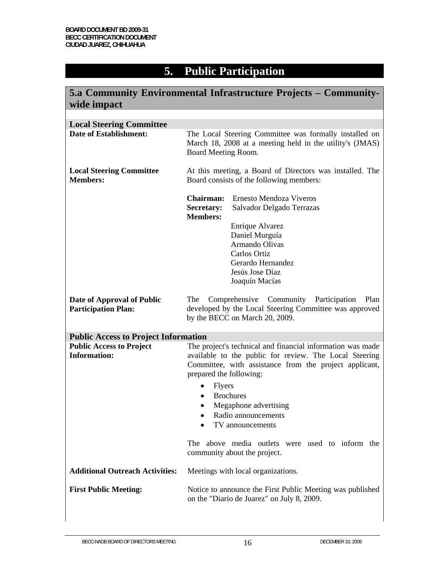# **5. Public Participation**

| 5.a Community Environmental Infrastructure Projects – Community-<br>wide impact |                                                                                                                                                                                                                                                                                                                                                   |                                                                                                                               |  |  |  |  |  |  |
|---------------------------------------------------------------------------------|---------------------------------------------------------------------------------------------------------------------------------------------------------------------------------------------------------------------------------------------------------------------------------------------------------------------------------------------------|-------------------------------------------------------------------------------------------------------------------------------|--|--|--|--|--|--|
|                                                                                 |                                                                                                                                                                                                                                                                                                                                                   |                                                                                                                               |  |  |  |  |  |  |
| <b>Local Steering Committee</b><br><b>Date of Establishment:</b>                | The Local Steering Committee was formally installed on<br>March 18, 2008 at a meeting held in the utility's (JMAS)<br>Board Meeting Room.                                                                                                                                                                                                         |                                                                                                                               |  |  |  |  |  |  |
| <b>Local Steering Committee</b><br><b>Members:</b>                              | At this meeting, a Board of Directors was installed. The<br>Board consists of the following members:                                                                                                                                                                                                                                              |                                                                                                                               |  |  |  |  |  |  |
|                                                                                 | <b>Chairman:</b><br>Secretary:<br><b>Members:</b>                                                                                                                                                                                                                                                                                                 | Ernesto Mendoza Viveros<br>Salvador Delgado Terrazas                                                                          |  |  |  |  |  |  |
|                                                                                 |                                                                                                                                                                                                                                                                                                                                                   | Enrique Alvarez<br>Daniel Murguía<br>Armando Olivas<br>Carlos Ortiz<br>Gerardo Hernandez<br>Jesús Jose Díaz<br>Joaquín Macías |  |  |  |  |  |  |
| Date of Approval of Public<br><b>Participation Plan:</b>                        | The<br>Comprehensive Community Participation<br>Plan<br>developed by the Local Steering Committee was approved<br>by the BECC on March 20, 2009.                                                                                                                                                                                                  |                                                                                                                               |  |  |  |  |  |  |
| <b>Public Access to Project Information</b>                                     |                                                                                                                                                                                                                                                                                                                                                   |                                                                                                                               |  |  |  |  |  |  |
| <b>Public Access to Project</b><br><b>Information:</b>                          | The project's technical and financial information was made<br>available to the public for review. The Local Steering<br>Committee, with assistance from the project applicant,<br>prepared the following:<br><b>Flyers</b><br>$\bullet$<br><b>Brochures</b><br>$\bullet$<br>Megaphone advertising<br>٠<br>Radio announcements<br>TV announcements |                                                                                                                               |  |  |  |  |  |  |
|                                                                                 |                                                                                                                                                                                                                                                                                                                                                   | The above media outlets were used to inform the<br>community about the project.                                               |  |  |  |  |  |  |
| <b>Additional Outreach Activities:</b>                                          |                                                                                                                                                                                                                                                                                                                                                   | Meetings with local organizations.                                                                                            |  |  |  |  |  |  |
| <b>First Public Meeting:</b>                                                    |                                                                                                                                                                                                                                                                                                                                                   | Notice to announce the First Public Meeting was published<br>on the "Diario de Juarez" on July 8, 2009.                       |  |  |  |  |  |  |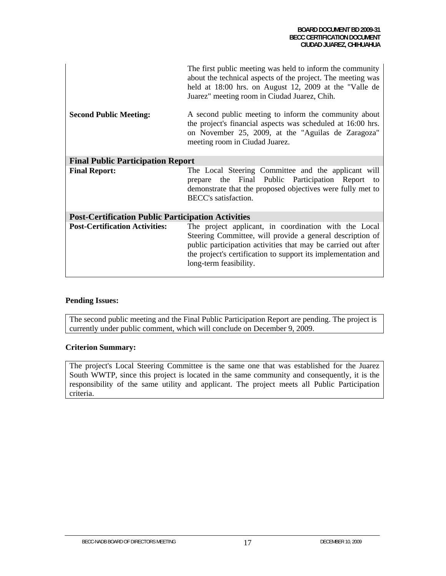| <b>Second Public Meeting:</b>                             | The first public meeting was held to inform the community<br>about the technical aspects of the project. The meeting was<br>held at 18:00 hrs. on August 12, 2009 at the "Valle de<br>Juarez" meeting room in Ciudad Juarez, Chih.<br>A second public meeting to inform the community about<br>the project's financial aspects was scheduled at 16:00 hrs.<br>on November 25, 2009, at the "Aguilas de Zaragoza"<br>meeting room in Ciudad Juarez. |
|-----------------------------------------------------------|----------------------------------------------------------------------------------------------------------------------------------------------------------------------------------------------------------------------------------------------------------------------------------------------------------------------------------------------------------------------------------------------------------------------------------------------------|
|                                                           |                                                                                                                                                                                                                                                                                                                                                                                                                                                    |
| <b>Final Public Participation Report</b>                  |                                                                                                                                                                                                                                                                                                                                                                                                                                                    |
| <b>Final Report:</b>                                      | The Local Steering Committee and the applicant will<br>the Final Public Participation Report to<br>prepare<br>demonstrate that the proposed objectives were fully met to<br>BECC's satisfaction.                                                                                                                                                                                                                                                   |
| <b>Post-Certification Public Participation Activities</b> |                                                                                                                                                                                                                                                                                                                                                                                                                                                    |
| <b>Post-Certification Activities:</b>                     | The project applicant, in coordination with the Local<br>Steering Committee, will provide a general description of<br>public participation activities that may be carried out after<br>the project's certification to support its implementation and<br>long-term feasibility.                                                                                                                                                                     |

## **Pending Issues:**

The second public meeting and the Final Public Participation Report are pending. The project is currently under public comment, which will conclude on December 9, 2009.

#### **Criterion Summary:**

The project's Local Steering Committee is the same one that was established for the Juarez South WWTP, since this project is located in the same community and consequently, it is the responsibility of the same utility and applicant. The project meets all Public Participation criteria.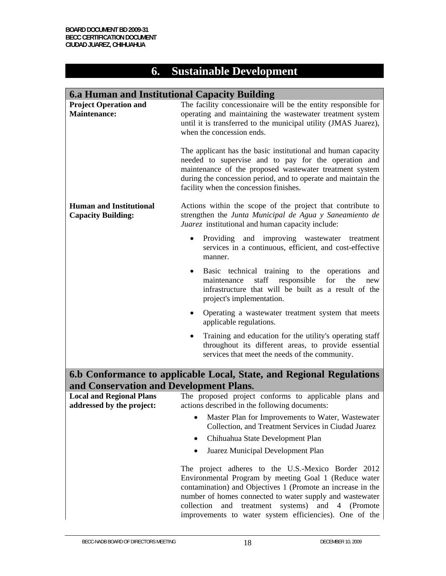# **6. Sustainable Development**

| 6.a Human and Institutional Capacity Building                        |                                                                                                                                                                                                                                                                                            |
|----------------------------------------------------------------------|--------------------------------------------------------------------------------------------------------------------------------------------------------------------------------------------------------------------------------------------------------------------------------------------|
| <b>Project Operation and</b><br><b>Maintenance:</b>                  | The facility concessionaire will be the entity responsible for<br>operating and maintaining the wastewater treatment system<br>until it is transferred to the municipal utility (JMAS Juarez),<br>when the concession ends.                                                                |
|                                                                      | The applicant has the basic institutional and human capacity<br>needed to supervise and to pay for the operation and<br>maintenance of the proposed wastewater treatment system<br>during the concession period, and to operate and maintain the<br>facility when the concession finishes. |
| <b>Human and Institutional</b><br><b>Capacity Building:</b>          | Actions within the scope of the project that contribute to<br>strengthen the Junta Municipal de Agua y Saneamiento de<br>Juarez institutional and human capacity include:                                                                                                                  |
|                                                                      | $\bullet$<br>Providing<br>and<br>improving<br>wastewater<br>treatment<br>services in a continuous, efficient, and cost-effective<br>manner.                                                                                                                                                |
|                                                                      | Basic technical training to the operations<br>$\bullet$<br>and<br>staff<br>responsible<br>for<br>maintenance<br>the<br>new<br>infrastructure that will be built as a result of the<br>project's implementation.                                                                            |
|                                                                      | Operating a wastewater treatment system that meets<br>$\bullet$<br>applicable regulations.                                                                                                                                                                                                 |
|                                                                      | Training and education for the utility's operating staff<br>$\bullet$<br>throughout its different areas, to provide essential<br>services that meet the needs of the community.                                                                                                            |
| 6.b Conformance to applicable Local, State, and Regional Regulations |                                                                                                                                                                                                                                                                                            |
| and Conservation and Development Plans.                              |                                                                                                                                                                                                                                                                                            |
| <b>Local and Regional Plans</b><br>addressed by the project:         | The proposed project conforms to applicable plans and<br>actions described in the following documents:                                                                                                                                                                                     |
|                                                                      | Master Plan for Improvements to Water, Wastewater<br>$\bullet$<br>Collection, and Treatment Services in Ciudad Juarez                                                                                                                                                                      |
|                                                                      | Chihuahua State Development Plan<br>$\bullet$                                                                                                                                                                                                                                              |
|                                                                      | Juarez Municipal Development Plan<br>$\bullet$                                                                                                                                                                                                                                             |

The project adheres to the U.S.-Mexico Border 2012 Environmental Program by meeting Goal 1 (Reduce water contamination) and Objectives 1 (Promote an increase in the number of homes connected to water supply and wastewater collection and treatment systems) and 4 (Promote improvements to water system efficiencies). One of the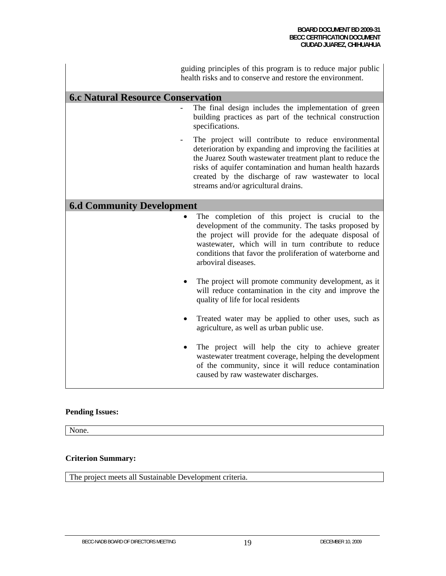guiding principles of this program is to reduce major public health risks and to conserve and restore the environment.

# **6.c Natural Resource Conservation**

- The final design includes the implementation of green building practices as part of the technical construction specifications.
- The project will contribute to reduce environmental deterioration by expanding and improving the facilities at the Juarez South wastewater treatment plant to reduce the risks of aquifer contamination and human health hazards created by the discharge of raw wastewater to local streams and/or agricultural drains.

## **6.d Community Development**

- The completion of this project is crucial to the development of the community. The tasks proposed by the project will provide for the adequate disposal of wastewater, which will in turn contribute to reduce conditions that favor the proliferation of waterborne and arboviral diseases.
- The project will promote community development, as it will reduce contamination in the city and improve the quality of life for local residents
- Treated water may be applied to other uses, such as agriculture, as well as urban public use.
- The project will help the city to achieve greater wastewater treatment coverage, helping the development of the community, since it will reduce contamination caused by raw wastewater discharges.

#### **Pending Issues:**

None.

#### **Criterion Summary:**

The project meets all Sustainable Development criteria.